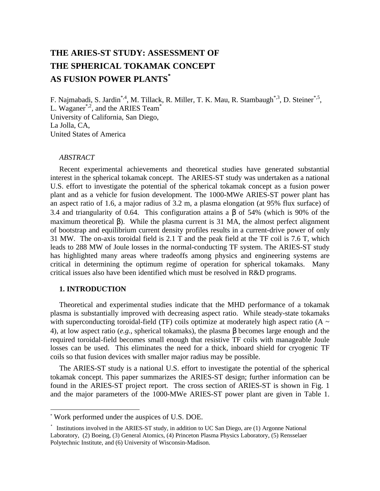# **THE ARIES-ST STUDY: ASSESSMENT OF THE SPHERICAL TOKAMAK CONCEPT AS FUSION POWER PLANTS\***

F. Najmabadi, S. Jardin\*,4, M. Tillack, R. Miller, T. K. Mau, R. Stambaugh\*,3, D. Steiner\*,5, L. Waganer<sup>\*,2</sup>, and the ARIES Team<sup>\*</sup> University of California, San Diego, La Jolla, CA, United States of America

### *ABSTRACT*

Recent experimental achievements and theoretical studies have generated substantial interest in the spherical tokamak concept. The ARIES-ST study was undertaken as a national U.S. effort to investigate the potential of the spherical tokamak concept as a fusion power plant and as a vehicle for fusion development. The 1000-MWe ARIES-ST power plant has an aspect ratio of 1.6, a major radius of 3.2 m, a plasma elongation (at 95% flux surface) of 3.4 and triangularity of 0.64. This configuration attains a β of 54% (which is 90% of the maximum theoretical β). While the plasma current is 31 MA, the almost perfect alignment of bootstrap and equilibrium current density profiles results in a current-drive power of only 31 MW. The on-axis toroidal field is 2.1 T and the peak field at the TF coil is 7.6 T, which leads to 288 MW of Joule losses in the normal-conducting TF system. The ARIES-ST study has highlighted many areas where tradeoffs among physics and engineering systems are critical in determining the optimum regime of operation for spherical tokamaks. Many critical issues also have been identified which must be resolved in R&D programs.

#### **1. INTRODUCTION**

l

Theoretical and experimental studies indicate that the MHD performance of a tokamak plasma is substantially improved with decreasing aspect ratio. While steady-state tokamaks with superconducting toroidal-field (TF) coils optimize at moderately high aspect ratio (A  $\sim$ 4), at low aspect ratio (*e.g.,* spherical tokamaks), the plasma β becomes large enough and the required toroidal-field becomes small enough that resistive TF coils with manageable Joule losses can be used. This eliminates the need for a thick, inboard shield for cryogenic TF coils so that fusion devices with smaller major radius may be possible.

The ARIES-ST study is a national U.S. effort to investigate the potential of the spherical tokamak concept. This paper summarizes the ARIES-ST design; further information can be found in the ARIES-ST project report. The cross section of ARIES-ST is shown in Fig. 1 and the major parameters of the 1000-MWe ARIES-ST power plant are given in Table 1.

<sup>\*</sup> Work performed under the auspices of U.S. DOE.

<sup>\*</sup> Institutions involved in the ARIES-ST study, in addition to UC San Diego, are (1) Argonne National Laboratory, (2) Boeing, (3) General Atomics, (4) Princeton Plasma Physics Laboratory, (5) Rensselaer Polytechnic Institute, and (6) University of Wisconsin-Madison.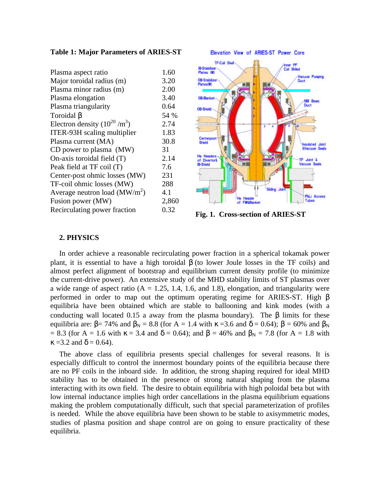#### **Table 1: Major Parameters of ARIES-ST**

| Plasma aspect ratio              | 1.60  |
|----------------------------------|-------|
| Major toroidal radius (m)        | 3.20  |
| Plasma minor radius (m)          | 2.00  |
| Plasma elongation                | 3.40  |
| Plasma triangularity             | 0.64  |
| Toroidal B                       | 54 %  |
| Electron density $(10^{20}/m^3)$ | 2.74  |
| ITER-93H scaling multiplier      | 1.83  |
| Plasma current (MA)              | 30.8  |
| CD power to plasma (MW)          | 31    |
| On-axis toroidal field (T)       | 2.14  |
| Peak field at TF coil (T)        | 7.6   |
| Center-post ohmic losses (MW)    | 231   |
| TF-coil ohmic losses (MW)        | 288   |
| Average neutron load $(MW/m2)$   | 4.1   |
| Fusion power (MW)                | 2,860 |
| Recirculating power fraction     | 0.32  |



Fig. 1. Cross-section of ARIES-ST

## **2. PHYSICS**

In order achieve a reasonable recirculating power fraction in a spherical tokamak power plant, it is essential to have a high toroidal  $\beta$  (to lower Joule losses in the TF coils) and almost perfect alignment of bootstrap and equilibrium current density profile (to minimize the current-drive power). An extensive study of the MHD stability limits of ST plasmas over a wide range of aspect ratio  $(A = 1.25, 1.4, 1.6, and 1.8)$ , elongation, and triangularity were performed in order to map out the optimum operating regime for ARIES-ST. High β equilibria have been obtained which are stable to ballooning and kink modes (with a conducting wall located 0.15 a away from the plasma boundary). The  $\beta$  limits for these equilibria are:  $\beta$ = 74% and  $\beta$ <sub>N</sub> = 8.8 (for A = 1.4 with  $\kappa$  =3.6 and  $\delta$  = 0.64);  $\beta$  = 60% and  $\beta$ <sub>N</sub> = 8.3 (for A = 1.6 with  $\kappa$  = 3.4 and  $\delta$  = 0.64); and  $\beta$  = 46% and  $\beta_N$  = 7.8 (for A = 1.8 with  $\kappa = 3.2$  and  $\delta = 0.64$ ).

The above class of equilibria presents special challenges for several reasons. It is especially difficult to control the innermost boundary points of the equilibria because there are no PF coils in the inboard side. In addition, the strong shaping required for ideal MHD stability has to be obtained in the presence of strong natural shaping from the plasma interacting with its own field. The desire to obtain equilibria with high poloidal beta but with low internal inductance implies high order cancellations in the plasma equilibrium equations making the problem computationally difficult, such that special parameterization of profiles is needed. While the above equilibria have been shown to be stable to axisymmetric modes, studies of plasma position and shape control are on going to ensure practicality of these equilibria.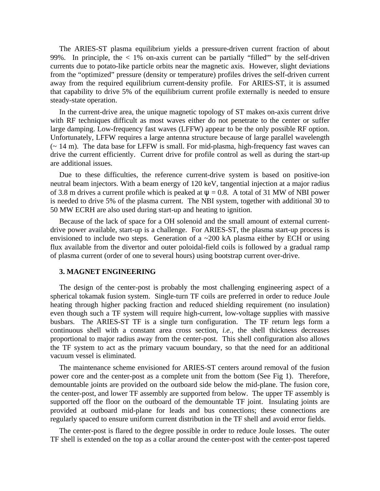The ARIES-ST plasma equilibrium yields a pressure-driven current fraction of about 99%. In principle, the  $< 1\%$  on-axis current can be partially "filled" by the self-driven currents due to potato-like particle orbits near the magnetic axis. However, slight deviations from the "optimized" pressure (density or temperature) profiles drives the self-driven current away from the required equilibrium current-density profile. For ARIES-ST, it is assumed that capability to drive 5% of the equilibrium current profile externally is needed to ensure steady-state operation.

In the current-drive area, the unique magnetic topology of ST makes on-axis current drive with RF techniques difficult as most waves either do not penetrate to the center or suffer large damping. Low-frequency fast waves (LFFW) appear to be the only possible RF option. Unfortunately, LFFW requires a large antenna structure because of large parallel wavelength  $\sim$  14 m). The data base for LFFW is small. For mid-plasma, high-frequency fast waves can drive the current efficiently. Current drive for profile control as well as during the start-up are additional issues.

Due to these difficulties, the reference current-drive system is based on positive-ion neutral beam injectors. With a beam energy of 120 keV, tangential injection at a major radius of 3.8 m drives a current profile which is peaked at  $\psi = 0.8$ . A total of 31 MW of NBI power is needed to drive 5% of the plasma current. The NBI system, together with additional 30 to 50 MW ECRH are also used during start-up and heating to ignition.

Because of the lack of space for a OH solenoid and the small amount of external currentdrive power available, start-up is a challenge. For ARIES-ST, the plasma start-up process is envisioned to include two steps. Generation of a ~200 kA plasma either by ECH or using flux available from the divertor and outer poloidal-field coils is followed by a gradual ramp of plasma current (order of one to several hours) using bootstrap current over-drive.

#### **3. MAGNET ENGINEERING**

The design of the center-post is probably the most challenging engineering aspect of a spherical tokamak fusion system. Single-turn TF coils are preferred in order to reduce Joule heating through higher packing fraction and reduced shielding requirement (no insulation) even though such a TF system will require high-current, low-voltage supplies with massive busbars. The ARIES-ST TF is a single turn configuration. The TF return legs form a continuous shell with a constant area cross section, *i.e.,* the shell thickness decreases proportional to major radius away from the center-post. This shell configuration also allows the TF system to act as the primary vacuum boundary, so that the need for an additional vacuum vessel is eliminated.

The maintenance scheme envisioned for ARIES-ST centers around removal of the fusion power core and the center-post as a complete unit from the bottom (See Fig 1). Therefore, demountable joints are provided on the outboard side below the mid-plane. The fusion core, the center-post, and lower TF assembly are supported from below. The upper TF assembly is supported off the floor on the outboard of the demountable TF joint. Insulating joints are provided at outboard mid-plane for leads and bus connections; these connections are regularly spaced to ensure uniform current distribution in the TF shell and avoid error fields.

The center-post is flared to the degree possible in order to reduce Joule losses. The outer TF shell is extended on the top as a collar around the center-post with the center-post tapered